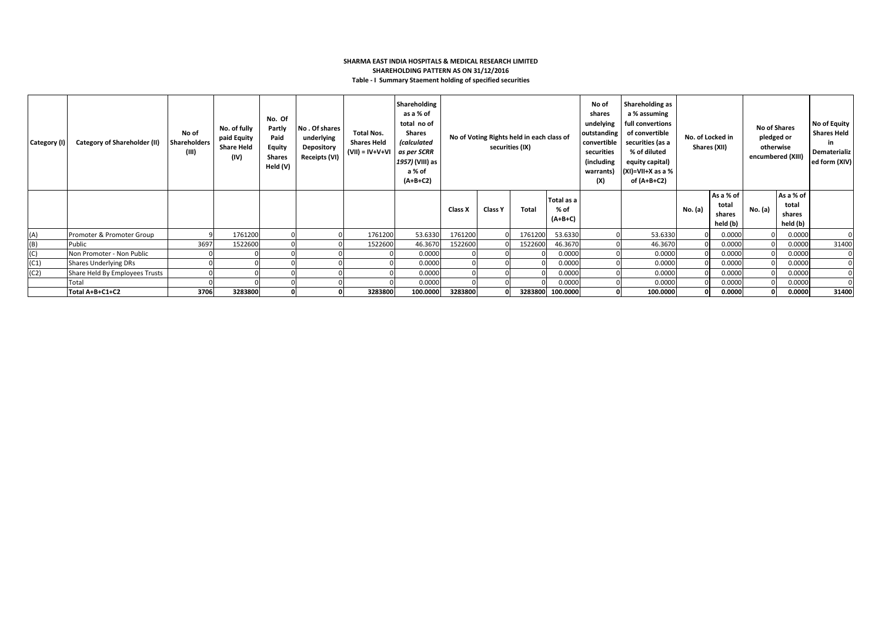### **SHARMA EAST INDIA HOSPITALS & MEDICAL RESEARCH LIMITED SHAREHOLDING PATTERN AS ON 31/12/2016 Table - I Summary Staement holding of specified securities**

| Category (I) | <b>Category of Shareholder (II)</b> | No of<br>Shareholders<br>(III) | No. of fully<br>paid Equity<br><b>Share Held</b><br>(IV) | No. Of<br>Partly<br>Paid<br><b>Equity</b><br><b>Shares</b><br>Held (V) | No. Of shares<br>underlying<br>Depository<br>Receipts (VI) | <b>Total Nos.</b><br><b>Shares Held</b><br>$(VII) = IV + V + VI$ | Shareholding<br>as a % of<br>total no of<br>Shares<br><i>(calculated</i><br>as per SCRR<br>1957) (VIII) as<br>a % of<br>$(A+B+C2)$ | No of Voting Rights held in each class of<br>securities (IX) |         |         | No of<br>shares<br>undelying<br>outstanding<br>convertible<br>securities<br>(including<br>warrants)<br>(X) | Shareholding as<br>a % assuming<br>full convertions<br>of convertible<br>securities (as a<br>% of diluted<br>equity capital)<br>$(XI)=VII+X$ as a %<br>of (A+B+C2) |          | No. of Locked in<br>Shares (XII) | No of Shares<br>pledged or<br>otherwise<br>encumbered (XIII) |         | No of Equity<br><b>Shares Held</b><br>in<br>Dematerializ<br>ed form (XIV) |       |
|--------------|-------------------------------------|--------------------------------|----------------------------------------------------------|------------------------------------------------------------------------|------------------------------------------------------------|------------------------------------------------------------------|------------------------------------------------------------------------------------------------------------------------------------|--------------------------------------------------------------|---------|---------|------------------------------------------------------------------------------------------------------------|--------------------------------------------------------------------------------------------------------------------------------------------------------------------|----------|----------------------------------|--------------------------------------------------------------|---------|---------------------------------------------------------------------------|-------|
|              |                                     |                                |                                                          |                                                                        |                                                            |                                                                  |                                                                                                                                    | Class X                                                      | Class Y | Total   | Total as a<br>% of<br>$(A+B+C)$                                                                            |                                                                                                                                                                    |          | No. (a)                          | As a % of<br>total<br>shares<br>held (b)                     | No. (a) | As a % of<br>total<br>shares<br>held (b)                                  |       |
| (A)          | Promoter & Promoter Group           |                                | 1761200                                                  |                                                                        |                                                            | 1761200                                                          | 53.6330                                                                                                                            | 1761200                                                      |         | 1761200 | 53.6330                                                                                                    |                                                                                                                                                                    | 53.6330  |                                  | 0.0000                                                       |         | 0.0000                                                                    |       |
| (B)          | Public                              | 3697                           | 1522600                                                  |                                                                        |                                                            | 1522600                                                          | 46.3670                                                                                                                            | 1522600                                                      |         | 1522600 | 46.3670                                                                                                    |                                                                                                                                                                    | 46.3670  |                                  | 0.0000                                                       |         | 0.0000                                                                    | 31400 |
| (C)          | Non Promoter - Non Public           |                                |                                                          |                                                                        |                                                            |                                                                  | 0.0000                                                                                                                             |                                                              |         |         | 0.0000                                                                                                     |                                                                                                                                                                    | 0.0000   |                                  | 0.0000                                                       |         | 0.0000                                                                    | 0     |
| (C1)         | <b>Shares Underlying DRs</b>        |                                |                                                          |                                                                        |                                                            |                                                                  | 0.0000                                                                                                                             |                                                              |         |         | 0.0000                                                                                                     |                                                                                                                                                                    | 0.0000   |                                  | 0.0000                                                       |         | 0.0000                                                                    |       |
| (C2)         | Share Held By Employees Trusts      |                                |                                                          |                                                                        |                                                            |                                                                  | 0.0000                                                                                                                             |                                                              |         |         | 0.0000                                                                                                     |                                                                                                                                                                    | 0.0000   |                                  | 0.0000                                                       |         | 0.0000                                                                    |       |
|              | Total                               |                                |                                                          |                                                                        |                                                            |                                                                  | 0.0000                                                                                                                             |                                                              |         |         | 0.0000                                                                                                     |                                                                                                                                                                    | 0.0000   |                                  | 0.0000                                                       |         | 0.0000                                                                    |       |
|              | Total A+B+C1+C2                     | 3706                           | 3283800                                                  |                                                                        |                                                            | 3283800                                                          | 100.0000                                                                                                                           | 3283800                                                      |         | 3283800 | 100.0000                                                                                                   |                                                                                                                                                                    | 100.0000 |                                  | 0.0000                                                       | 0       | 0.0000                                                                    | 31400 |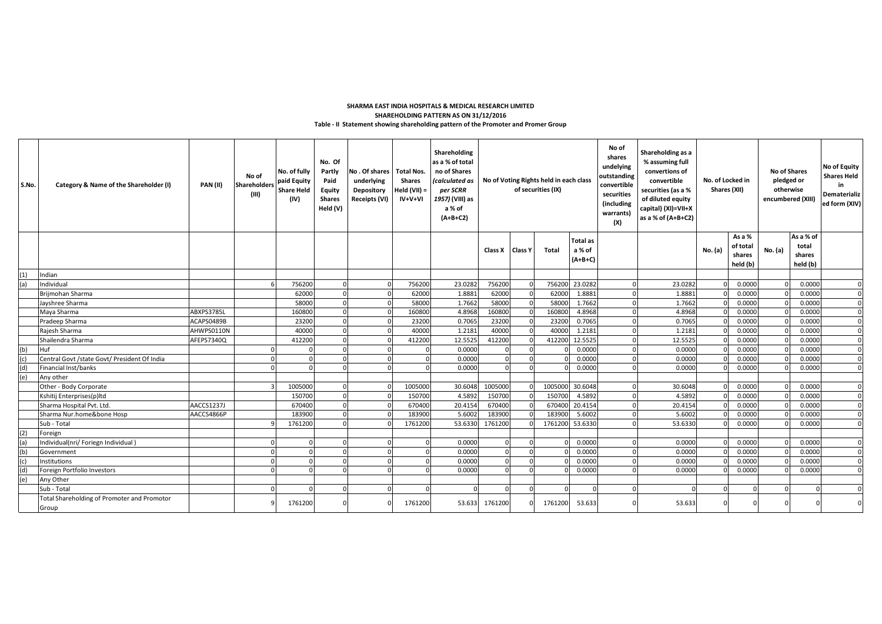## **Table - II Statement showing shareholding pattern of the Promoter and Promer Group SHAREHOLDING PATTERN AS ON 31/12/2016 SHARMA EAST INDIA HOSPITALS & MEDICAL RESEARCH LIMITED**

| S.No. | Category & Name of the Shareholder (I)                     | <b>PAN(II)</b> | No of<br><b>Shareholders</b><br>(III) | No. of fully<br>paid Equity<br><b>Share Held</b><br>(IV) | No. Of<br>Partly<br>Paid<br>Equity<br><b>Shares</b><br>Held (V) | No . Of shares<br>underlying<br>Depository<br>Receipts (VI) | <b>Total Nos.</b><br><b>Shares</b><br>Held (VII) =<br>IV+V+VI | Shareholding<br>as a % of total<br>no of Shares<br>(calculated as<br>per SCRR<br>1957) (VIII) as<br>a % of<br>$(A+B+C2)$ | No of Voting Rights held in each class<br>of securities (IX) |  | No of<br>shares<br>undelying<br>outstanding<br>convertible<br>securities<br>(including<br>warrants)<br>(X) | Shareholding as a<br>% assuming full<br>convertions of<br>No. of Locked in<br>convertible<br>securities (as a %<br>Shares (XII)<br>of diluted equity<br>capital) (XI)=VII+X<br>as a % of (A+B+C2) |  |         | <b>No of Shares</b><br>pledged or<br>otherwise<br>encumbered (XIII) |                                          | No of Equity<br><b>Shares Held</b><br>in<br>Dematerializ<br>ed form (XIV) |                                          |              |
|-------|------------------------------------------------------------|----------------|---------------------------------------|----------------------------------------------------------|-----------------------------------------------------------------|-------------------------------------------------------------|---------------------------------------------------------------|--------------------------------------------------------------------------------------------------------------------------|--------------------------------------------------------------|--|------------------------------------------------------------------------------------------------------------|---------------------------------------------------------------------------------------------------------------------------------------------------------------------------------------------------|--|---------|---------------------------------------------------------------------|------------------------------------------|---------------------------------------------------------------------------|------------------------------------------|--------------|
|       |                                                            |                |                                       |                                                          |                                                                 |                                                             |                                                               |                                                                                                                          | Class X Class Y                                              |  | Total                                                                                                      | <b>Total</b> as<br>a % of<br>$(A+B+C)$                                                                                                                                                            |  |         | No. (a)                                                             | As a %<br>of total<br>shares<br>held (b) | No. (a)                                                                   | As a % of<br>total<br>shares<br>held (b) |              |
| (1)   | Indian                                                     |                |                                       |                                                          |                                                                 |                                                             |                                                               |                                                                                                                          |                                                              |  |                                                                                                            |                                                                                                                                                                                                   |  |         |                                                                     |                                          |                                                                           |                                          |              |
| (a)   | Individual                                                 |                |                                       | 756200                                                   |                                                                 |                                                             | 756200                                                        | 23.0282                                                                                                                  | 756200                                                       |  | 756200                                                                                                     | 23.0282                                                                                                                                                                                           |  | 23.0282 |                                                                     | 0.0000                                   |                                                                           | 0.0000                                   | $\mathbf{0}$ |
|       | Brijmohan Sharma                                           |                |                                       | 62000                                                    |                                                                 |                                                             | 62000                                                         | 1.8881                                                                                                                   | 62000                                                        |  | 62000                                                                                                      | 1.8881                                                                                                                                                                                            |  | 1.8881  | $\Omega$                                                            | 0.0000                                   |                                                                           | 0.0000                                   | $\mathbf{0}$ |
|       | Jayshree Sharma                                            |                |                                       | 58000                                                    |                                                                 |                                                             | 58000                                                         | 1.7662                                                                                                                   | 58000                                                        |  | 58000                                                                                                      | 1.7662                                                                                                                                                                                            |  | 1.7662  | $\Omega$                                                            | 0.0000                                   |                                                                           | 0.0000                                   | $\mathbf{0}$ |
|       | Maya Sharma                                                | ABXPS3785L     |                                       | 160800                                                   |                                                                 |                                                             |                                                               | 4.8968                                                                                                                   | 160800                                                       |  | 160800                                                                                                     | 4.8968                                                                                                                                                                                            |  | 4.8968  | $\Omega$                                                            | 0.0000                                   |                                                                           | 0.0000                                   | $\mathbf{0}$ |
|       | Pradeep Sharma                                             | ACAPS0489B     |                                       | 23200                                                    |                                                                 |                                                             | 23200                                                         | 0.7065                                                                                                                   | 23200                                                        |  | 23200                                                                                                      | 0.7065                                                                                                                                                                                            |  | 0.7065  |                                                                     | 0.0000                                   |                                                                           | 0.0000                                   | $\mathbf{0}$ |
|       | Rajesh Sharma                                              | AHWPS0110N     |                                       | 40000                                                    |                                                                 |                                                             |                                                               | 1.2181                                                                                                                   | 40000                                                        |  | 40000                                                                                                      | 1.2181                                                                                                                                                                                            |  | 1.2181  |                                                                     | 0.0000                                   |                                                                           | 0.0000                                   | $\mathbf{0}$ |
|       | Shailendra Sharma                                          | AFEPS7340Q     |                                       | 412200                                                   |                                                                 |                                                             | 412200                                                        | 12.5525                                                                                                                  | 412200                                                       |  | 412200                                                                                                     | 12.5525                                                                                                                                                                                           |  | 12.5525 |                                                                     | 0.0000                                   |                                                                           | 0.0000                                   | $\Omega$     |
| (b)   | <b>Huf</b>                                                 |                |                                       |                                                          |                                                                 |                                                             |                                                               | 0.0000                                                                                                                   | $\Omega$                                                     |  |                                                                                                            | 0.0000                                                                                                                                                                                            |  | 0.0000  | $\Omega$                                                            | 0.0000                                   |                                                                           | 0.0000                                   | $\Omega$     |
| (c)   | Central Govt /state Govt/ President Of India               |                |                                       |                                                          |                                                                 |                                                             |                                                               | 0.0000                                                                                                                   | $\Omega$                                                     |  |                                                                                                            | 0.0000                                                                                                                                                                                            |  | 0.0000  |                                                                     | 0.0000                                   |                                                                           | 0.0000                                   | $\Omega$     |
| (d)   | Financial Inst/banks                                       |                |                                       |                                                          |                                                                 |                                                             |                                                               | 0.0000                                                                                                                   | $\Omega$                                                     |  |                                                                                                            | 0.0000                                                                                                                                                                                            |  | 0.0000  |                                                                     | 0.0000                                   |                                                                           | 0.0000                                   | $\Omega$     |
| (e)   | Any other                                                  |                |                                       |                                                          |                                                                 |                                                             |                                                               |                                                                                                                          |                                                              |  |                                                                                                            |                                                                                                                                                                                                   |  |         |                                                                     |                                          |                                                                           |                                          |              |
|       | Other - Body Corporate                                     |                |                                       | 1005000                                                  |                                                                 |                                                             | 1005000                                                       | 30.6048                                                                                                                  | 1005000                                                      |  | 1005000 30.6048                                                                                            |                                                                                                                                                                                                   |  | 30.6048 | $\Omega$                                                            | 0.0000                                   |                                                                           | 0.0000                                   | $\mathbf{0}$ |
|       | Kshitij Enterprises(p)ltd                                  |                |                                       | 150700                                                   |                                                                 |                                                             | 150700                                                        | 4.5892                                                                                                                   | 150700                                                       |  | 15070                                                                                                      | 4.5892                                                                                                                                                                                            |  | 4.5892  |                                                                     | 0.0000                                   |                                                                           | 0.0000                                   | $\mathbf{0}$ |
|       | Sharma Hospital Pvt. Ltd.                                  | AACCS1237J     |                                       | 670400                                                   |                                                                 |                                                             | 670400                                                        | 20.4154                                                                                                                  | 670400                                                       |  | 670400                                                                                                     | 20.4154                                                                                                                                                                                           |  | 20.4154 |                                                                     | 0.0000                                   |                                                                           | 0.0000                                   | $\mathbf{0}$ |
|       | Sharma Nur.home&bone Hosp                                  | AACCS4866P     |                                       | 183900                                                   |                                                                 |                                                             | 183900                                                        | 5.6002                                                                                                                   | 183900                                                       |  | 183900                                                                                                     | 5.6002                                                                                                                                                                                            |  | 5.6002  |                                                                     | 0.0000                                   |                                                                           | 0.0000                                   | $\mathbf{0}$ |
|       | Sub - Total                                                |                |                                       | 1761200                                                  |                                                                 |                                                             | 1761200                                                       | 53.6330                                                                                                                  | 1761200                                                      |  | 1761200                                                                                                    | 53.6330                                                                                                                                                                                           |  | 53.6330 |                                                                     | 0.0000                                   |                                                                           | 0.0000                                   | $\Omega$     |
| (2)   | Foreign                                                    |                |                                       |                                                          |                                                                 |                                                             |                                                               |                                                                                                                          |                                                              |  |                                                                                                            |                                                                                                                                                                                                   |  |         |                                                                     |                                          |                                                                           |                                          |              |
| (a)   | Individual(nri/ Foriegn Individual)                        |                |                                       |                                                          |                                                                 |                                                             | $\Omega$                                                      | 0.0000                                                                                                                   | $\Omega$                                                     |  |                                                                                                            | 0.0000                                                                                                                                                                                            |  | 0.0000  | $\Omega$                                                            | 0.0000                                   |                                                                           | 0.0000                                   | $\mathbf{0}$ |
| (b)   | Government                                                 |                |                                       |                                                          |                                                                 |                                                             |                                                               | 0.0000                                                                                                                   | $\Omega$                                                     |  |                                                                                                            | 0.0000                                                                                                                                                                                            |  | 0.0000  | $\Omega$                                                            | 0.0000                                   |                                                                           | 0.0000                                   | $\mathbf{0}$ |
| (c)   | Institutions                                               |                |                                       |                                                          |                                                                 |                                                             |                                                               | 0.0000                                                                                                                   | $\Omega$                                                     |  |                                                                                                            | 0.0000                                                                                                                                                                                            |  | 0.0000  |                                                                     | 0.0000                                   |                                                                           | 0.0000                                   | $\mathbf{0}$ |
| (d)   | Foreign Portfolio Investors                                |                |                                       |                                                          |                                                                 |                                                             |                                                               | 0.0000                                                                                                                   | $\Omega$                                                     |  |                                                                                                            | 0.0000                                                                                                                                                                                            |  | 0.0000  |                                                                     | 0.0000                                   |                                                                           | 0.0000                                   | $\Omega$     |
| (e)   | Any Other                                                  |                |                                       |                                                          |                                                                 |                                                             |                                                               | $\Omega$                                                                                                                 |                                                              |  |                                                                                                            |                                                                                                                                                                                                   |  |         |                                                                     |                                          |                                                                           |                                          |              |
|       | Sub - Total<br>Total Shareholding of Promoter and Promotor |                |                                       | 1761200                                                  |                                                                 |                                                             | 1761200                                                       | 53.633                                                                                                                   | $\Omega$<br>1761200                                          |  | 1761200                                                                                                    | 53.633                                                                                                                                                                                            |  | 53.633  | $\Omega$                                                            | $\Omega$                                 |                                                                           |                                          | $\Omega$     |
|       | Group                                                      |                |                                       |                                                          |                                                                 |                                                             |                                                               |                                                                                                                          |                                                              |  |                                                                                                            |                                                                                                                                                                                                   |  |         |                                                                     |                                          |                                                                           |                                          |              |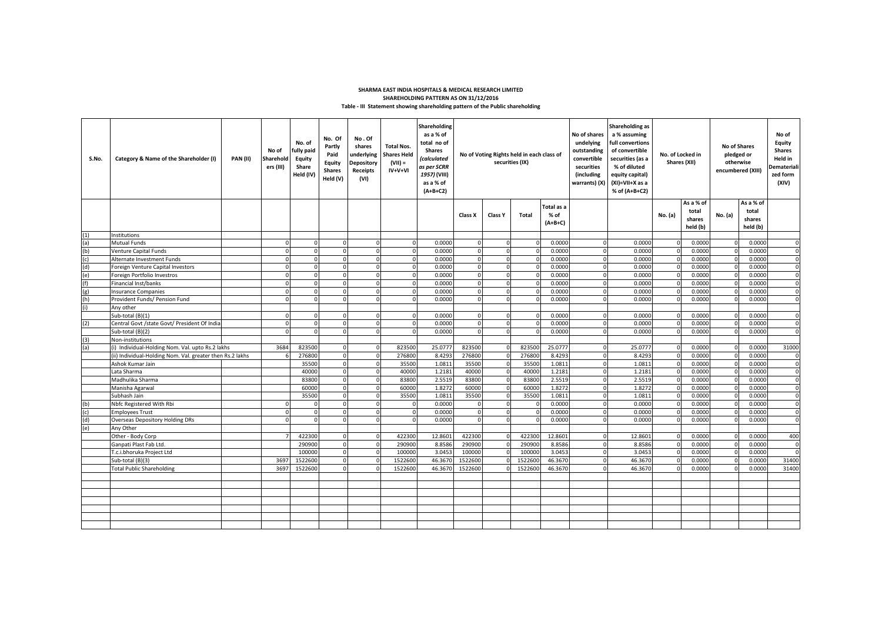#### **Table - III Statement showing shareholding pattern of the Public shareholding SHARMA EAST INDIA HOSPITALS & MEDICAL RESEARCH LIMITED SHAREHOLDING PATTERN AS ON 31/12/2016**

| S.No. | Category & Name of the Shareholder (I)                    | <b>PAN (II)</b> | No of<br>Sharehold<br>ers (III) | No. of<br>fully paid<br><b>Equity</b><br>Share<br>Held (IV) | No. Of<br>Partly<br>Paid<br>Equity<br><b>Shares</b><br>Held (V) | No.Of<br>shares<br>underlying<br>Depository<br><b>Receipts</b><br>(VI) | <b>Total Nos.</b><br><b>Shares Held</b><br>$(VII) =$<br>IV+V+VI | Shareholding<br>as a % of<br>total no of<br><b>Shares</b><br>(calculated<br>as per SCRR<br>1957) (VIII)<br>as a % of<br>$(A+B+C2)$ | No of Voting Rights held in each class of<br>securities (IX) |                |                  | No of shares<br>undelying<br>outstanding<br>convertible<br>securities<br>(including<br>warrants) (X) | Shareholding as<br>a % assuming<br>full convertions<br>of convertible<br>securities (as a<br>% of diluted<br>equity capital)<br>(XI)=VII+X as a<br>% of (A+B+C2) | No. of Locked in<br>Shares (XII) |                      | <b>No of Shares</b>          | pledged or<br>otherwise<br>encumbered (XIII) | No of<br>Equity<br><b>Shares</b><br>Held in<br><b>Demateriali</b><br>zed form<br>(XIV) |                 |
|-------|-----------------------------------------------------------|-----------------|---------------------------------|-------------------------------------------------------------|-----------------------------------------------------------------|------------------------------------------------------------------------|-----------------------------------------------------------------|------------------------------------------------------------------------------------------------------------------------------------|--------------------------------------------------------------|----------------|------------------|------------------------------------------------------------------------------------------------------|------------------------------------------------------------------------------------------------------------------------------------------------------------------|----------------------------------|----------------------|------------------------------|----------------------------------------------|----------------------------------------------------------------------------------------|-----------------|
|       |                                                           |                 |                                 |                                                             |                                                                 |                                                                        |                                                                 |                                                                                                                                    | Class X                                                      | <b>Class Y</b> | Total            | Total as a<br>% of<br>$(A+B+C)$                                                                      |                                                                                                                                                                  |                                  | No. (a)              | As a % of<br>total<br>shares | No. (a)                                      | As a % of<br>total<br>shares                                                           |                 |
| (1)   | Institutions                                              |                 |                                 |                                                             |                                                                 |                                                                        |                                                                 |                                                                                                                                    |                                                              |                |                  |                                                                                                      |                                                                                                                                                                  |                                  |                      | held (b)                     |                                              | held (b)                                                                               |                 |
| (a)   | Mutual Funds                                              |                 | <sup>n</sup>                    | $\mathbf{0}$                                                | $\Omega$                                                        |                                                                        | $\Omega$                                                        | 0.0000                                                                                                                             | $\Omega$                                                     | $\Omega$       |                  | 0.0000                                                                                               | $\Omega$                                                                                                                                                         | 0.0000                           | $\Omega$             | 0.0000                       |                                              | 0.0000                                                                                 |                 |
| (b)   | Venture Capital Funds                                     |                 | $\Omega$                        | $\Omega$                                                    | $\Omega$                                                        |                                                                        | $\Omega$                                                        | 0.0000                                                                                                                             | $\Omega$                                                     | $\Omega$       |                  | 0.0000                                                                                               | $\Omega$                                                                                                                                                         | 0.0000                           | $\Omega$             | 0.0000                       |                                              | 0.0000                                                                                 | $\Omega$        |
| (c)   | Alternate Investment Funds                                |                 |                                 |                                                             | $\Omega$                                                        |                                                                        | $\Omega$                                                        | 0.0000                                                                                                                             |                                                              | $\Omega$       |                  | 0.0000                                                                                               | $\Omega$                                                                                                                                                         | 0.0000                           | n                    | 0.0000                       |                                              | 0.0000                                                                                 |                 |
| (d)   | Foreign Venture Capital Investors                         |                 |                                 | $\Omega$                                                    | $\Omega$                                                        |                                                                        | $\Omega$                                                        | 0.0000                                                                                                                             |                                                              | $\Omega$       |                  | 0.0000                                                                                               | $\Omega$                                                                                                                                                         | 0.0000                           | O                    | 0.0000                       |                                              | 0.0000                                                                                 | $\Omega$        |
| (e)   | Foreign Portfolio Investros                               |                 |                                 |                                                             |                                                                 |                                                                        |                                                                 | 0.0000                                                                                                                             |                                                              |                |                  | 0.0000                                                                                               |                                                                                                                                                                  | 0.0000                           |                      | 0.0000                       |                                              | 0.0000                                                                                 |                 |
| (f)   | Financial Inst/banks                                      |                 |                                 |                                                             |                                                                 |                                                                        | $\Omega$                                                        | 0.0000                                                                                                                             |                                                              |                |                  | 0.0000                                                                                               |                                                                                                                                                                  | 0.0000                           |                      | 0.0000                       |                                              | 0.0000                                                                                 | $\Omega$        |
| (g)   | <b>Insurance Companies</b>                                |                 |                                 |                                                             |                                                                 |                                                                        |                                                                 | 0.0000                                                                                                                             |                                                              |                |                  | 0.0000                                                                                               |                                                                                                                                                                  | 0.0000                           |                      | 0.0000                       |                                              | 0.0000                                                                                 |                 |
| (h)   | Provident Funds/ Pension Fund                             |                 |                                 |                                                             |                                                                 |                                                                        |                                                                 | 0.0000                                                                                                                             |                                                              |                |                  | 0.0000                                                                                               |                                                                                                                                                                  | 0.0000                           |                      | 0.0000                       |                                              | 0.0000                                                                                 |                 |
|       | Any other                                                 |                 |                                 |                                                             |                                                                 |                                                                        |                                                                 |                                                                                                                                    |                                                              |                |                  |                                                                                                      |                                                                                                                                                                  |                                  |                      |                              |                                              |                                                                                        |                 |
|       | Sub-total (B)(1)                                          |                 |                                 |                                                             | $\Omega$                                                        |                                                                        |                                                                 | 0.0000                                                                                                                             |                                                              |                |                  | 0.0000                                                                                               |                                                                                                                                                                  | 0.0000                           |                      | 0.0000                       |                                              | 0.0000                                                                                 |                 |
| (2)   | Central Govt /state Govt/ President Of India              |                 | $\Omega$                        | $\Omega$                                                    | $\Omega$                                                        |                                                                        | $\Omega$                                                        | 0.0000                                                                                                                             |                                                              |                |                  | 0.0000                                                                                               |                                                                                                                                                                  | 0.0000                           |                      | 0.0000                       |                                              | 0.0000                                                                                 |                 |
|       | Sub-total (B)(2)                                          |                 |                                 |                                                             | $\Omega$                                                        |                                                                        |                                                                 | 0.0000                                                                                                                             |                                                              |                |                  | 0.0000                                                                                               |                                                                                                                                                                  | 0.0000                           |                      | 0.0000                       |                                              | 0.0000                                                                                 |                 |
| (3)   | Non-institutions                                          |                 |                                 |                                                             |                                                                 |                                                                        |                                                                 |                                                                                                                                    |                                                              |                |                  |                                                                                                      |                                                                                                                                                                  |                                  |                      |                              |                                              |                                                                                        |                 |
| (a)   | (i) Individual-Holding Nom. Val. upto Rs.2 lakhs          |                 | 3684                            | 823500                                                      | $\Omega$                                                        |                                                                        | 823500                                                          | 25.0777                                                                                                                            | 823500                                                       |                | 82350            | 25.0777                                                                                              | $\Omega$                                                                                                                                                         | 25.0777                          |                      | 0.0000                       |                                              | 0.0000                                                                                 | 31000           |
|       | (ii) Individual-Holding Nom. Val. greater then Rs.2 lakhs |                 |                                 | 276800                                                      | $\overline{0}$                                                  |                                                                        | 276800                                                          | 8.4293                                                                                                                             | 276800                                                       |                | 27680            | 8.4293                                                                                               |                                                                                                                                                                  | 8.4293                           |                      | 0.0000                       |                                              | 0.0000                                                                                 |                 |
|       | Ashok Kumar Jain                                          |                 |                                 | 35500                                                       | $\Omega$                                                        |                                                                        | 35500                                                           | 1.081                                                                                                                              | 35500                                                        |                | 35500            | 1.0811                                                                                               | $\Omega$                                                                                                                                                         | 1.0811                           |                      | 0.0000                       |                                              | 0.0000                                                                                 | $\Omega$        |
|       | Lata Sharma                                               |                 |                                 | 40000                                                       | $\Omega$                                                        |                                                                        | 40000                                                           | 1.2181                                                                                                                             | 40000                                                        |                | 4000             | 1.2181                                                                                               | $\Omega$                                                                                                                                                         | 1.2181                           |                      | 0.0000                       |                                              | 0.0000                                                                                 | $\Omega$        |
|       | Madhulika Sharma                                          |                 |                                 | 83800                                                       | $\Omega$                                                        |                                                                        | 83800                                                           | 2.5519                                                                                                                             | 83800                                                        |                | 83800            | 2.5519                                                                                               | $\Omega$                                                                                                                                                         | 2.5519                           | n                    | 0.0000                       |                                              | 0.0000                                                                                 | $\mathbf 0$     |
|       | Manisha Agarwal                                           |                 |                                 | 60000                                                       | $\overline{0}$                                                  |                                                                        | 60000                                                           | 1.827                                                                                                                              | 60000                                                        |                | 6000             | 1.8272                                                                                               |                                                                                                                                                                  | 1.8272                           |                      | 0.0000                       |                                              | 0.0000                                                                                 | $\Omega$        |
|       | Subhash Jain                                              |                 |                                 | 35500                                                       | $\Omega$                                                        |                                                                        | 35500                                                           | 1.081                                                                                                                              | 35500                                                        |                | 35500            | 1.0811                                                                                               |                                                                                                                                                                  | 1.0811                           |                      | 0.0000                       |                                              | 0.0000                                                                                 | $\Omega$        |
| (b)   | Nbfc Registered With Rbi                                  |                 |                                 | $\Omega$                                                    | $\Omega$                                                        |                                                                        |                                                                 | 0.0000                                                                                                                             |                                                              |                |                  | 0.0000                                                                                               |                                                                                                                                                                  | 0.0000                           |                      | 0.0000                       |                                              | 0.000                                                                                  | $\Omega$        |
| (c)   | <b>Employees Trust</b>                                    |                 |                                 | $\Omega$                                                    | $\Omega$                                                        |                                                                        | $\Omega$                                                        | 0.0000                                                                                                                             | $\Omega$                                                     | $\Omega$       |                  | 0.0000                                                                                               |                                                                                                                                                                  | 0.0000                           |                      | 0.0000                       |                                              | 0.0000                                                                                 | $\Omega$        |
| (d)   | <b>Overseas Depository Holding DRs</b>                    |                 |                                 | $\Omega$                                                    | $\Omega$                                                        |                                                                        | $\Omega$                                                        | 0.0000                                                                                                                             | $\Omega$                                                     | $\Omega$       |                  | 0.0000                                                                                               | $\Omega$                                                                                                                                                         | 0.0000                           |                      | 0.0000                       |                                              | 0.0000                                                                                 | $\Omega$        |
| (e)   | Any Other                                                 |                 |                                 |                                                             |                                                                 |                                                                        |                                                                 |                                                                                                                                    |                                                              |                |                  |                                                                                                      |                                                                                                                                                                  |                                  |                      |                              |                                              |                                                                                        |                 |
|       | Other - Body Corp<br>Ganpati Plast Fab Ltd.               |                 |                                 | 422300<br>290900                                            | $\Omega$<br>$\overline{0}$                                      |                                                                        | 422300<br>290900                                                | 12.8601<br>8.8586                                                                                                                  | 422300<br>290900                                             | $\Omega$       | 422300<br>290900 | 12.8601<br>8.8586                                                                                    | $\Omega$<br>$\Omega$                                                                                                                                             | 12.8601<br>8.8586                | $\Omega$<br>$\Omega$ | 0.0000<br>0.0000             |                                              | 0.0000<br>0.0000                                                                       | 400<br>$\Omega$ |
|       |                                                           |                 |                                 |                                                             |                                                                 |                                                                        |                                                                 |                                                                                                                                    |                                                              |                |                  |                                                                                                      | $\Omega$                                                                                                                                                         |                                  | $\Omega$             |                              |                                              |                                                                                        | $\Omega$        |
|       | T.c.i.bhoruka Project Ltd<br>Sub-total (B)(3)             |                 | 3697                            | 100000<br>1522600                                           | $\overline{0}$<br>$\overline{0}$                                |                                                                        | 100000<br>1522600                                               | 3.0453<br>46.367                                                                                                                   | 100000<br>1522600                                            |                | 10000<br>1522600 | 3.0453<br>46.3670                                                                                    | $\Omega$                                                                                                                                                         | 3.0453<br>46.367                 | <sup>n</sup>         | 0.0000<br>0.0000             |                                              | 0.000<br>0.000                                                                         | 31400           |
|       | <b>Total Public Shareholding</b>                          |                 | 3697                            | 1522600                                                     | $\Omega$                                                        |                                                                        | 1522600                                                         | 46.3670                                                                                                                            | 1522600                                                      |                | 1522600          | 46.3670                                                                                              |                                                                                                                                                                  | 46.3670                          | n                    | 0.0000                       |                                              | 0.000                                                                                  | 31400           |
|       |                                                           |                 |                                 |                                                             |                                                                 |                                                                        |                                                                 |                                                                                                                                    |                                                              |                |                  |                                                                                                      |                                                                                                                                                                  |                                  |                      |                              |                                              |                                                                                        |                 |
|       |                                                           |                 |                                 |                                                             |                                                                 |                                                                        |                                                                 |                                                                                                                                    |                                                              |                |                  |                                                                                                      |                                                                                                                                                                  |                                  |                      |                              |                                              |                                                                                        |                 |
|       |                                                           |                 |                                 |                                                             |                                                                 |                                                                        |                                                                 |                                                                                                                                    |                                                              |                |                  |                                                                                                      |                                                                                                                                                                  |                                  |                      |                              |                                              |                                                                                        |                 |
|       |                                                           |                 |                                 |                                                             |                                                                 |                                                                        |                                                                 |                                                                                                                                    |                                                              |                |                  |                                                                                                      |                                                                                                                                                                  |                                  |                      |                              |                                              |                                                                                        |                 |
|       |                                                           |                 |                                 |                                                             |                                                                 |                                                                        |                                                                 |                                                                                                                                    |                                                              |                |                  |                                                                                                      |                                                                                                                                                                  |                                  |                      |                              |                                              |                                                                                        |                 |
|       |                                                           |                 |                                 |                                                             |                                                                 |                                                                        |                                                                 |                                                                                                                                    |                                                              |                |                  |                                                                                                      |                                                                                                                                                                  |                                  |                      |                              |                                              |                                                                                        |                 |
|       |                                                           |                 |                                 |                                                             |                                                                 |                                                                        |                                                                 |                                                                                                                                    |                                                              |                |                  |                                                                                                      |                                                                                                                                                                  |                                  |                      |                              |                                              |                                                                                        |                 |